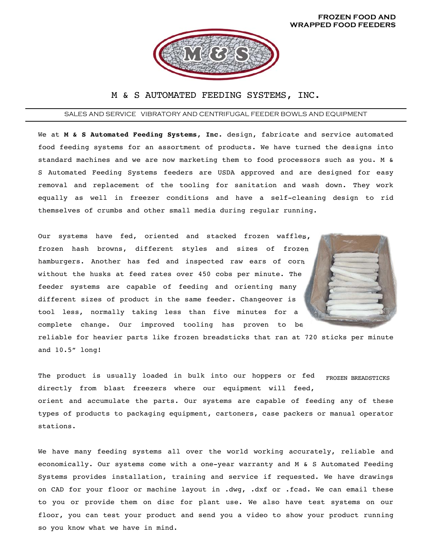

## M & S AUTOMATED FEEDING SYSTEMS, INC.

## SALES AND SERVICE VIBRATORY AND CENTRIFUGAL FEEDER BOWLS AND EQUIPMENT

We at **M & S Automated Feeding Systems, Inc.** design, fabricate and service automated food feeding systems for an assortment of products. We have turned the designs into standard machines and we are now marketing them to food processors such as you. M & S Automated Feeding Systems feeders are USDA approved and are designed for easy removal and replacement of the tooling for sanitation and wash down. They work equally as well in freezer conditions and have a self-cleaning design to rid themselves of crumbs and other small media during regular running.

Our systems have fed, oriented and stacked frozen waffles, frozen hash browns, different styles and sizes of frozen hamburgers. Another has fed and inspected raw ears of corn without the husks at feed rates over 450 cobs per minute. The feeder systems are capable of feeding and orienting many different sizes of product in the same feeder. Changeover is tool less, normally taking less than five minutes for a complete change. Our improved tooling has proven to be



reliable for heavier parts like frozen breadsticks that ran at 720 sticks per minute and 10.5" long!

FROZEN BREADSTICKS The product is usually loaded in bulk into our hoppers or fed directly from blast freezers where our equipment will feed, orient and accumulate the parts. Our systems are capable of feeding any of these types of products to packaging equipment, cartoners, case packers or manual operator stations.

We have many feeding systems all over the world working accurately, reliable and economically. Our systems come with a one-year warranty and M & S Automated Feeding Systems provides installation, training and service if requested. We have drawings on CAD for your floor or machine layout in .dwg, .dxf or .fcad. We can email these to you or provide them on disc for plant use. We also have test systems on our floor, you can test your product and send you a video to show your product running so you know what we have in mind.